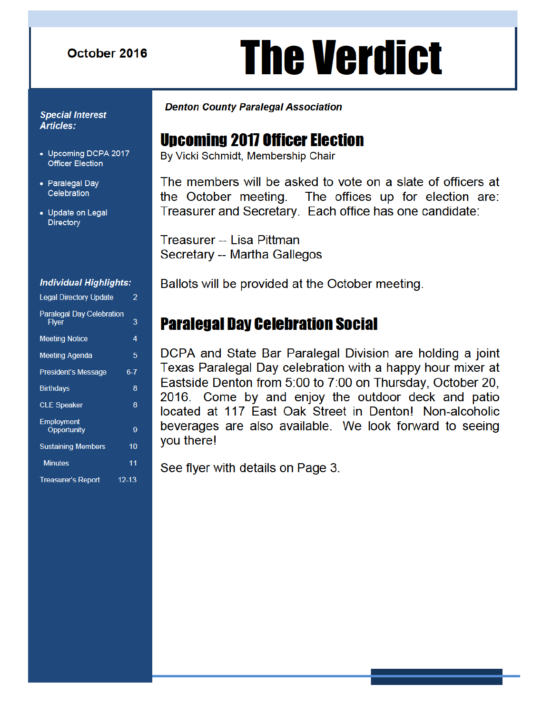### October 2016

# **The Verdict**

### **Special Interest Articles:**

- Upcoming DCPA 2017 **Officer Election**
- Paralegal Day Celebration
- Update on Legal Directory

### **Individual Highlights:**

| <b>Legal Directory Update</b>                    | 2     |
|--------------------------------------------------|-------|
| <b>Paralegal Day Celebration</b><br><b>Flver</b> | 3     |
| <b>Meeting Notice</b>                            | 4     |
| <b>Meeting Agenda</b>                            | 5     |
| <b>President's Message</b>                       | $6-7$ |
| <b>Birthdays</b>                                 | 8     |
| <b>CLE Speaker</b>                               | 8     |
| Employment<br>Opportunity                        | 9     |
| <b>Sustaining Members</b>                        | 10    |
| <b>Minutes</b>                                   | 11    |
| <b>Treasurer's Report</b>                        | 12-13 |

### **Denton County Paralegal Association**

# **Upcoming 2017 Officer Election**

By Vicki Schmidt, Membership Chair

The members will be asked to vote on a slate of officers at the October meeting. The offices up for election are: Treasurer and Secretary. Each office has one candidate:

Treasurer -- Lisa Pittman Secretary -- Martha Gallegos

Ballots will be provided at the October meeting.

# **Paralegal Day Celebration Social**

DCPA and State Bar Paralegal Division are holding a joint Texas Paralegal Day celebration with a happy hour mixer at Eastside Denton from 5:00 to 7:00 on Thursday, October 20, 2016. Come by and enjoy the outdoor deck and patio located at 117 East Oak Street in Denton! Non-alcoholic beverages are also available. We look forward to seeing you there!

See flyer with details on Page 3.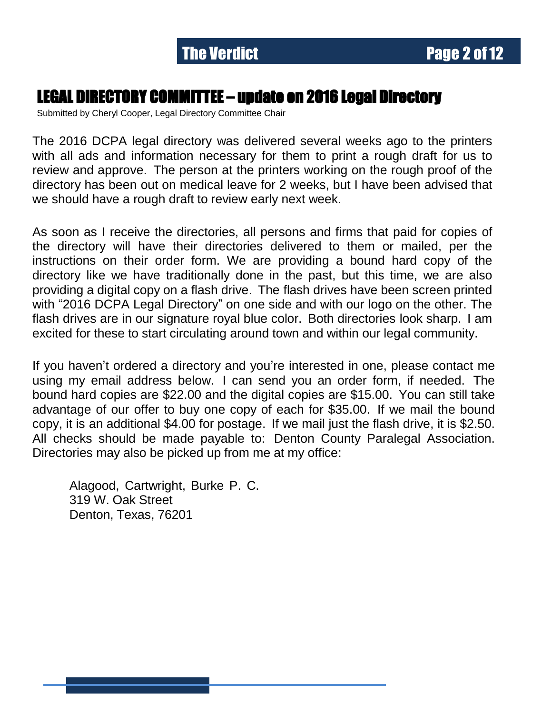### LEGAL DIRECTORY COMMITTEE – update on 2016 Legal Directory

Submitted by Cheryl Cooper, Legal Directory Committee Chair

The 2016 DCPA legal directory was delivered several weeks ago to the printers with all ads and information necessary for them to print a rough draft for us to review and approve. The person at the printers working on the rough proof of the directory has been out on medical leave for 2 weeks, but I have been advised that we should have a rough draft to review early next week.

As soon as I receive the directories, all persons and firms that paid for copies of the directory will have their directories delivered to them or mailed, per the instructions on their order form. We are providing a bound hard copy of the directory like we have traditionally done in the past, but this time, we are also providing a digital copy on a flash drive. The flash drives have been screen printed with "2016 DCPA Legal Directory" on one side and with our logo on the other. The flash drives are in our signature royal blue color. Both directories look sharp. I am excited for these to start circulating around town and within our legal community.

If you haven't ordered a directory and you're interested in one, please contact me using my email address below. I can send you an order form, if needed. The bound hard copies are \$22.00 and the digital copies are \$15.00. You can still take advantage of our offer to buy one copy of each for \$35.00. If we mail the bound copy, it is an additional \$4.00 for postage. If we mail just the flash drive, it is \$2.50. All checks should be made payable to: Denton County Paralegal Association. Directories may also be picked up from me at my office:

Alagood, Cartwright, Burke P. C. 319 W. Oak Street Denton, Texas, 76201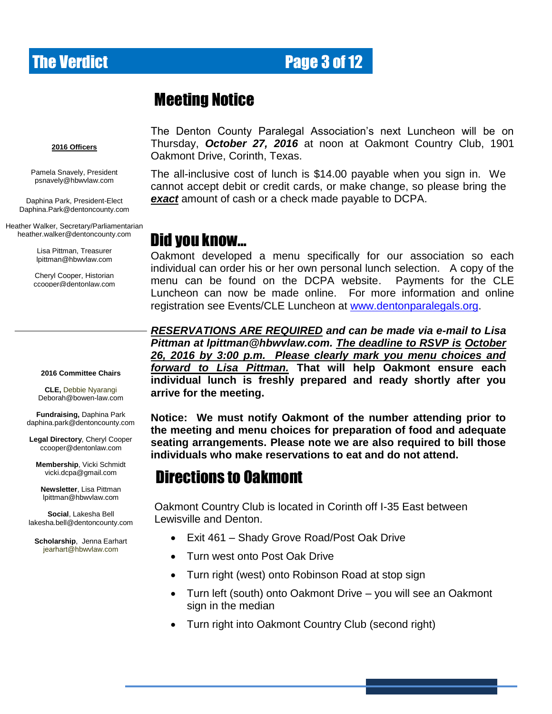**The Verdict Electronic Electronic Page 3 of 12** 

# Meeting Notice

### **2016 Officers**

Pamela Snavely, President psnavely@hbwvlaw.com

Daphina Park, President-Elect Daphina.Park@dentoncounty.com

Heather Walker, Secretary/Parliamentarian heather.walker@dentoncounty.com

> Lisa Pittman, Treasurer lpittman@hbwvlaw.com

Cheryl Cooper, Historian ccooper@dentonlaw.com

### **2016 Committee Chairs**

**CLE,** Debbie Nyarangi Deborah@bowen-law.com

**Fundraising,** Daphina Park daphina.park@dentoncounty.com

**Legal Directory**, Cheryl Cooper ccooper@dentonlaw.com

**Membership**, Vicki Schmidt vicki.dcpa@gmail.com

**Newsletter**, Lisa Pittman lpittman@hbwvlaw.com

**Social**, Lakesha Bell lakesha.bell@dentoncounty.com

**Scholarship**, Jenna Earhart jearhart@hbwvlaw.com

The Denton County Paralegal Association's next Luncheon will be on Thursday, *October 27, 2016* at noon at Oakmont Country Club, 1901 Oakmont Drive, Corinth, Texas.

The all-inclusive cost of lunch is \$14.00 payable when you sign in. We cannot accept debit or credit cards, or make change, so please bring the *exact* amount of cash or a check made payable to DCPA.

## Did you know…

Oakmont developed a menu specifically for our association so each individual can order his or her own personal lunch selection. A copy of the menu can be found on the DCPA website. Payments for the CLE Luncheon can now be made online. For more information and online registration see Events/CLE Luncheon at www.dentonparalegals.org.

*RESERVATIONS ARE REQUIRED and can be made via e-mail to Lisa Pittman at lpittman@hbwvlaw.com. The deadline to RSVP is October 26, 2016 by 3:00 p.m. Please clearly mark you menu choices and forward to Lisa Pittman.* **That will help Oakmont ensure each individual lunch is freshly prepared and ready shortly after you arrive for the meeting.**

**Notice: We must notify Oakmont of the number attending prior to the meeting and menu choices for preparation of food and adequate seating arrangements. Please note we are also required to bill those individuals who make reservations to eat and do not attend.**

# Directions to Oakmont

Oakmont Country Club is located in Corinth off I-35 East between Lewisville and Denton.

- Exit 461 Shady Grove Road/Post Oak Drive
- Turn west onto Post Oak Drive
- Turn right (west) onto Robinson Road at stop sign
- Turn left (south) onto Oakmont Drive you will see an Oakmont sign in the median
- Turn right into Oakmont Country Club (second right)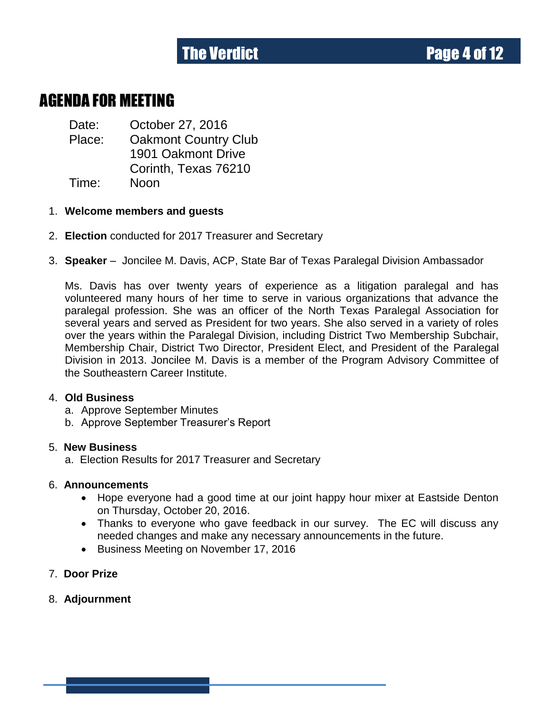# AGENDA FOR MEETING

Date: October 27, 2016 Place: Oakmont Country Club 1901 Oakmont Drive Corinth, Texas 76210 Time: Noon

### 1. **Welcome members and guests**

- 2. **Election** conducted for 2017 Treasurer and Secretary
- 3. **Speaker** Joncilee M. Davis, ACP, State Bar of Texas Paralegal Division Ambassador

Ms. Davis has over twenty years of experience as a litigation paralegal and has volunteered many hours of her time to serve in various organizations that advance the paralegal profession. She was an officer of the North Texas Paralegal Association for several years and served as President for two years. She also served in a variety of roles over the years within the Paralegal Division, including District Two Membership Subchair, Membership Chair, District Two Director, President Elect, and President of the Paralegal Division in 2013. Joncilee M. Davis is a member of the Program Advisory Committee of the Southeastern Career Institute.

### 4. **Old Business**

- a. Approve September Minutes
- b. Approve September Treasurer's Report

### 5. **New Business**

a. Election Results for 2017 Treasurer and Secretary

### 6. **Announcements**

- Hope everyone had a good time at our joint happy hour mixer at Eastside Denton on Thursday, October 20, 2016.
- Thanks to everyone who gave feedback in our survey. The EC will discuss any needed changes and make any necessary announcements in the future.
- **Business Meeting on November 17, 2016**
- 7. **Door Prize**
- 8. **Adjournment**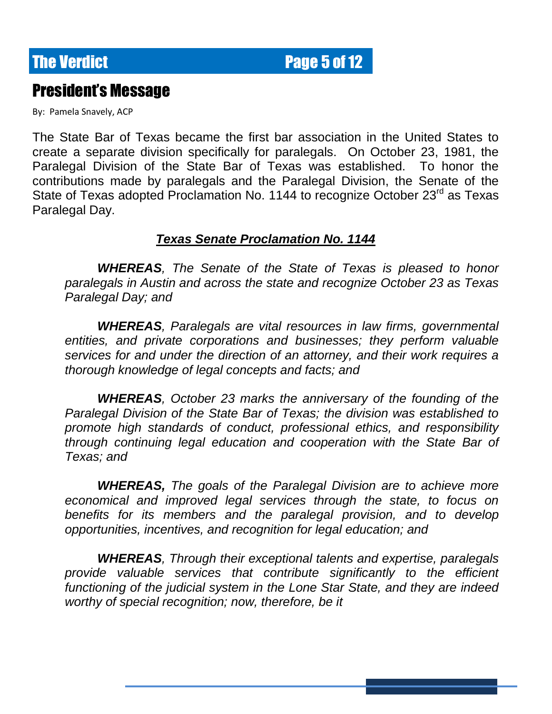**The Verdict Electronic Electronic Page 5 of 12** 

# President's Message

By: Pamela Snavely, ACP

The State Bar of Texas became the first bar association in the United States to create a separate division specifically for paralegals. On October 23, 1981, the Paralegal Division of the State Bar of Texas was established. To honor the contributions made by paralegals and the Paralegal Division, the Senate of the State of Texas adopted Proclamation No. 1144 to recognize October 23<sup>rd</sup> as Texas Paralegal Day.

### *Texas Senate Proclamation No. 1144*

*WHEREAS, The Senate of the State of Texas is pleased to honor paralegals in Austin and across the state and recognize October 23 as Texas Paralegal Day; and*

*WHEREAS, Paralegals are vital resources in law firms, governmental entities, and private corporations and businesses; they perform valuable services for and under the direction of an attorney, and their work requires a thorough knowledge of legal concepts and facts; and*

*WHEREAS, October 23 marks the anniversary of the founding of the Paralegal Division of the State Bar of Texas; the division was established to promote high standards of conduct, professional ethics, and responsibility through continuing legal education and cooperation with the State Bar of Texas; and*

*WHEREAS, The goals of the Paralegal Division are to achieve more economical and improved legal services through the state, to focus on benefits for its members and the paralegal provision, and to develop opportunities, incentives, and recognition for legal education; and*

*WHEREAS, Through their exceptional talents and expertise, paralegals provide valuable services that contribute significantly to the efficient functioning of the judicial system in the Lone Star State, and they are indeed worthy of special recognition; now, therefore, be it*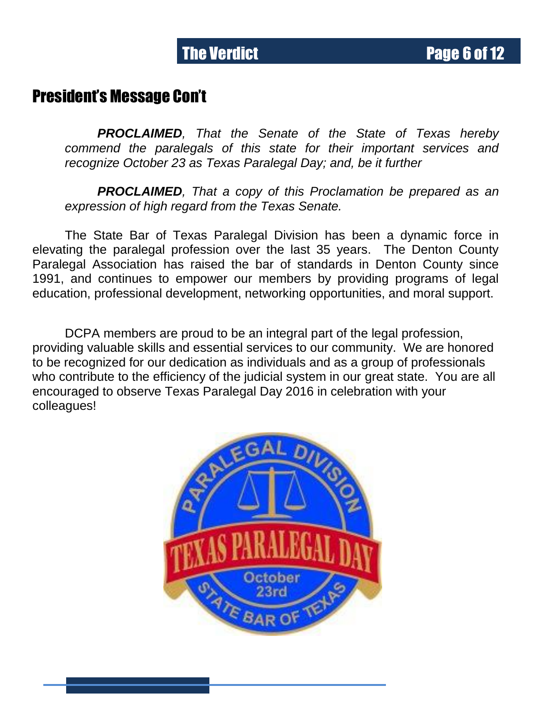### President's Message Con't

*PROCLAIMED, That the Senate of the State of Texas hereby commend the paralegals of this state for their important services and recognize October 23 as Texas Paralegal Day; and, be it further* 

*PROCLAIMED, That a copy of this Proclamation be prepared as an expression of high regard from the Texas Senate.*

The State Bar of Texas Paralegal Division has been a dynamic force in elevating the paralegal profession over the last 35 years. The Denton County Paralegal Association has raised the bar of standards in Denton County since 1991, and continues to empower our members by providing programs of legal education, professional development, networking opportunities, and moral support.

DCPA members are proud to be an integral part of the legal profession, providing valuable skills and essential services to our community. We are honored to be recognized for our dedication as individuals and as a group of professionals who contribute to the efficiency of the judicial system in our great state. You are all encouraged to observe Texas Paralegal Day 2016 in celebration with your colleagues!

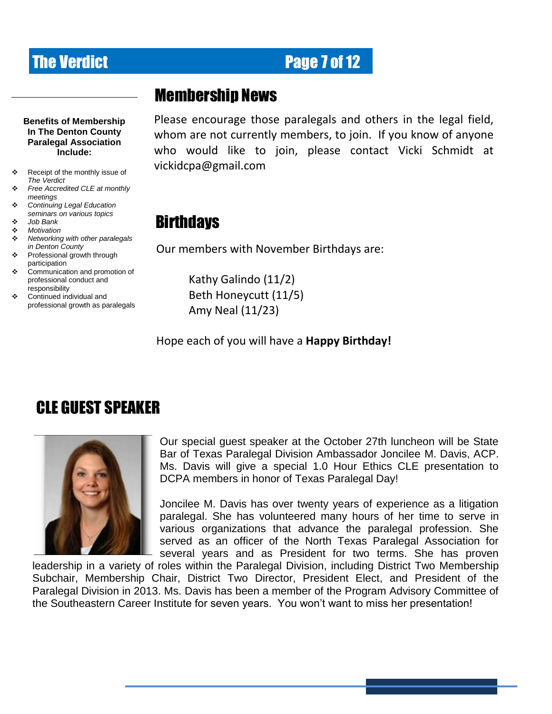# **The Verdict Page 7 of 12**

### Membership News

### **Benefits of Membership In The Denton County Paralegal Association Include:**

- Receipt of the monthly issue of *The Verdict*
- *Free Accredited CLE at monthly meetings*
- *Continuing Legal Education seminars on various topics*
- *Job Bank*
- *Motivation*
- *Networking with other paralegals in Denton County*
- ❖ Professional growth through participation
- Communication and promotion of professional conduct and responsibility
- Continued individual and professional growth as paralegals

Please encourage those paralegals and others in the legal field, whom are not currently members, to join. If you know of anyone who would like to join, please contact Vicki Schmidt at vickidcpa@gmail.com

# **Birthdays**

Our members with November Birthdays are:

Kathy Galindo (11/2) Beth Honeycutt (11/5) Amy Neal (11/23)

Hope each of you will have a **Happy Birthday!** 

# CLE GUEST SPEAKER



Our special guest speaker at the October 27th luncheon will be State Bar of Texas Paralegal Division Ambassador Joncilee M. Davis, ACP. Ms. Davis will give a special 1.0 Hour Ethics CLE presentation to DCPA members in honor of Texas Paralegal Day!

Joncilee M. Davis has over twenty years of experience as a litigation paralegal. She has volunteered many hours of her time to serve in various organizations that advance the paralegal profession. She served as an officer of the North Texas Paralegal Association for several years and as President for two terms. She has proven

leadership in a variety of roles within the Paralegal Division, including District Two Membership Subchair, Membership Chair, District Two Director, President Elect, and President of the Paralegal Division in 2013. Ms. Davis has been a member of the Program Advisory Committee of the Southeastern Career Institute for seven years. You won't want to miss her presentation!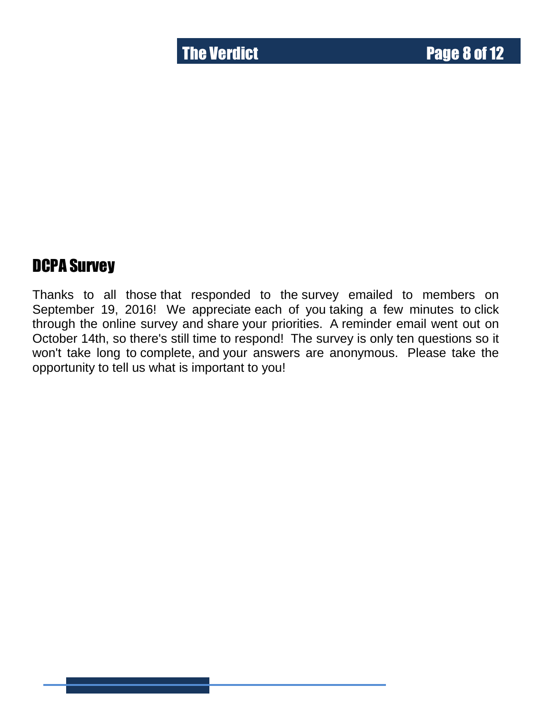# DCPA Survey

Thanks to all those that responded to the survey emailed to members on September 19, 2016! We appreciate each of you taking a few minutes to click through the online survey and share your priorities. A reminder email went out on October 14th, so there's still time to respond! The survey is only ten questions so it won't take long to complete, and your answers are anonymous. Please take the opportunity to tell us what is important to you!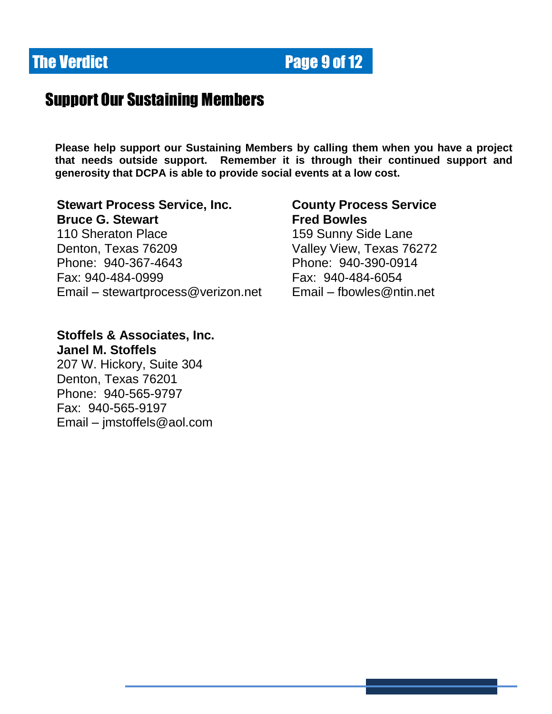# **The Verdict Electronic Electronic Page 9 of 12**

# Support Our Sustaining Members

**Please help support our Sustaining Members by calling them when you have a project that needs outside support. Remember it is through their continued support and generosity that DCPA is able to provide social events at a low cost.**

**Stewart Process Service, Inc. County Process Service Bruce G. Stewart Fred Bowles** 

110 Sheraton Place 159 Sunny Side Lane Denton, Texas 76209 Valley View, Texas 76272 Phone: 940-367-4643 Phone: 940-390-0914 Fax: 940-484-0999 Fax: 940-484-6054 Email – stewartprocess@verizon.net Email – fbowles@ntin.net

### **Stoffels & Associates, Inc. Janel M. Stoffels**

207 W. Hickory, Suite 304 Denton, Texas 76201 Phone: 940-565-9797 Fax: 940-565-9197 Email – jmstoffels@aol.com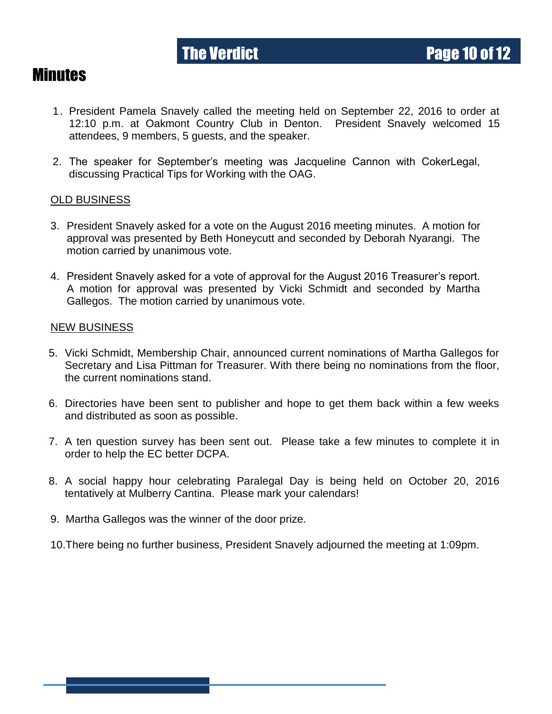### Minutes

- 1. President Pamela Snavely called the meeting held on September 22, 2016 to order at 12:10 p.m. at Oakmont Country Club in Denton. President Snavely welcomed 15 attendees, 9 members, 5 guests, and the speaker.
- 2. The speaker for September's meeting was Jacqueline Cannon with CokerLegal, discussing Practical Tips for Working with the OAG.

### OLD BUSINESS

- 3. President Snavely asked for a vote on the August 2016 meeting minutes. A motion for approval was presented by Beth Honeycutt and seconded by Deborah Nyarangi. The motion carried by unanimous vote.
- 4. President Snavely asked for a vote of approval for the August 2016 Treasurer's report. A motion for approval was presented by Vicki Schmidt and seconded by Martha Gallegos. The motion carried by unanimous vote.

### NEW BUSINESS

- 5. Vicki Schmidt, Membership Chair, announced current nominations of Martha Gallegos for Secretary and Lisa Pittman for Treasurer. With there being no nominations from the floor, the current nominations stand.
- 6. Directories have been sent to publisher and hope to get them back within a few weeks and distributed as soon as possible.
- 7. A ten question survey has been sent out. Please take a few minutes to complete it in order to help the EC better DCPA.
- 8. A social happy hour celebrating Paralegal Day is being held on October 20, 2016 tentatively at Mulberry Cantina. Please mark your calendars!
- 9. Martha Gallegos was the winner of the door prize.
- 10.There being no further business, President Snavely adjourned the meeting at 1:09pm.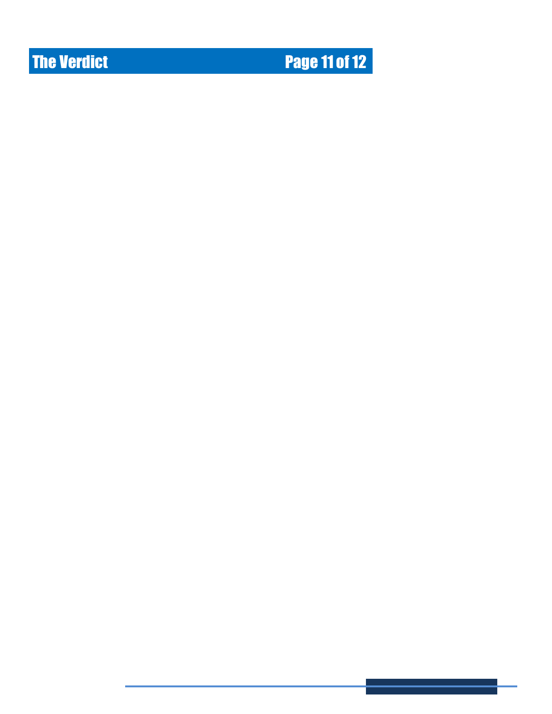# **The Verdict Community Community Page 11 of 12**